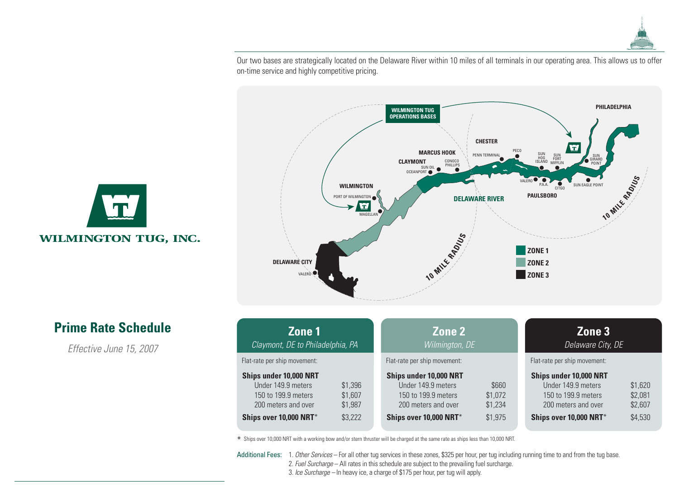

Our two bases are strategically located on the Delaware River within 10 miles of all terminals in our operating area. This allows us to offer on-time service and highly competitive pricing.



| Zone 1<br>Claymont, DE to Philadelphia, PA                                                 |                               | Zone 2<br>Wilmington, DE                                                                   |                             | Zone 3<br>Delaware City, DE                                                                |                               |
|--------------------------------------------------------------------------------------------|-------------------------------|--------------------------------------------------------------------------------------------|-----------------------------|--------------------------------------------------------------------------------------------|-------------------------------|
| Flat-rate per ship movement:                                                               |                               | Flat-rate per ship movement:                                                               |                             | Flat-rate per ship movement:                                                               |                               |
| Ships under 10,000 NRT<br>Under 149.9 meters<br>150 to 199.9 meters<br>200 meters and over | \$1,396<br>\$1,607<br>\$1,987 | Ships under 10,000 NRT<br>Under 149.9 meters<br>150 to 199.9 meters<br>200 meters and over | \$660<br>\$1,072<br>\$1,234 | Ships under 10,000 NRT<br>Under 149.9 meters<br>150 to 199.9 meters<br>200 meters and over | \$1,620<br>\$2,081<br>\$2,607 |
| Ships over 10,000 NRT*                                                                     | \$3,222                       | Ships over 10,000 NRT*                                                                     | \$1,975                     | Ships over 10,000 NRT*                                                                     | \$4,530                       |

\* Ships over 10,000 NRT with a working bow and/or stern thruster will be charged at the same rate as ships less than 10,000 NRT.

Additional Fees: 1. Other Services – For all other tug services in these zones, \$325 per hour, per tug including running time to and from the tug base.

2. Fuel Surcharge - All rates in this schedule are subject to the prevailing fuel surcharge.

3. Ice Surcharge – In heavy ice, a charge of \$175 per hour, per tug will apply.

T. WILMINGTON TUG, INC.

## **Prime Rate Schedule**

Effective June 15, 2007